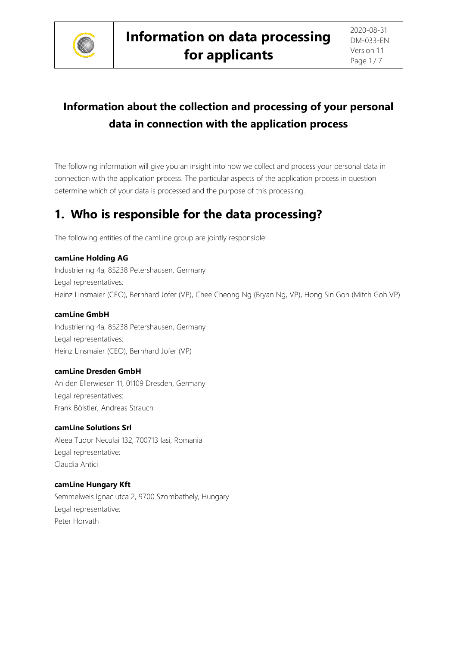

# **Information about the collection and processing of your personal data in connection with the application process**

The following information will give you an insight into how we collect and process your personal data in connection with the application process. The particular aspects of the application process in question determine which of your data is processed and the purpose of this processing.

# **1. Who is responsible for the data processing?**

The following entities of the camLine group are jointly responsible:

### **camLine Holding AG**

Industriering 4a, 85238 Petershausen, Germany Legal representatives: Heinz Linsmaier (CEO), Bernhard Jofer (VP), Chee Cheong Ng (Bryan Ng, VP), Hong Sin Goh (Mitch Goh VP)

### **camLine GmbH**

Industriering 4a, 85238 Petershausen, Germany Legal representatives: Heinz Linsmaier (CEO), Bernhard Jofer (VP)

### **camLine Dresden GmbH**

An den Ellerwiesen 11, 01109 Dresden, Germany Legal representatives: Frank Bölstler, Andreas Strauch

### **camLine Solutions Srl**

Aleea Tudor Neculai 132, 700713 Iasi, Romania Legal representative: Claudia Antici

### **camLine Hungary Kft**

Semmelweis Ignac utca 2, 9700 Szombathely, Hungary Legal representative: Peter Horvath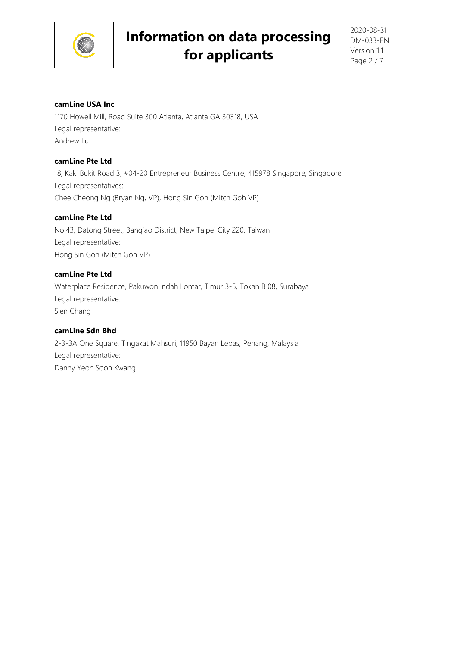

#### **camLine USA Inc**

1170 Howell Mill, Road Suite 300 Atlanta, Atlanta GA 30318, USA Legal representative: Andrew Lu

#### **camLine Pte Ltd**

18, Kaki Bukit Road 3, #04-20 Entrepreneur Business Centre, 415978 Singapore, Singapore Legal representatives: Chee Cheong Ng (Bryan Ng, VP), Hong Sin Goh (Mitch Goh VP)

### **camLine Pte Ltd**

No.43, Datong Street, Banqiao District, New Taipei City 220, Taiwan Legal representative: Hong Sin Goh (Mitch Goh VP)

#### **camLine Pte Ltd**

Waterplace Residence, Pakuwon Indah Lontar, Timur 3-5, Tokan B 08, Surabaya Legal representative: Sien Chang

#### **camLine Sdn Bhd**

2-3-3A One Square, Tingakat Mahsuri, 11950 Bayan Lepas, Penang, Malaysia Legal representative: Danny Yeoh Soon Kwang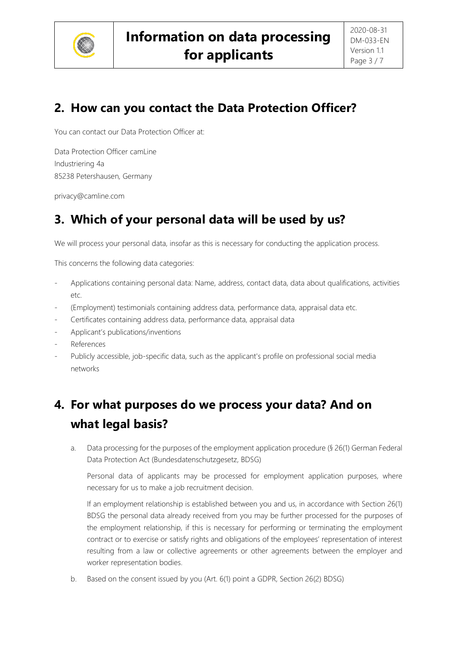

## **2. How can you contact the Data Protection Officer?**

You can contact our Data Protection Officer at:

Data Protection Officer camLine Industriering 4a 85238 Petershausen, Germany

privacy@camline.com

## **3. Which of your personal data will be used by us?**

We will process your personal data, insofar as this is necessary for conducting the application process.

This concerns the following data categories:

- Applications containing personal data: Name, address, contact data, data about qualifications, activities etc.
- (Employment) testimonials containing address data, performance data, appraisal data etc.
- Certificates containing address data, performance data, appraisal data
- Applicant's publications/inventions
- **References**
- Publicly accessible, job-specific data, such as the applicant's profile on professional social media networks

# **4. For what purposes do we process your data? And on what legal basis?**

a. Data processing for the purposes of the employment application procedure (§ 26(1) German Federal Data Protection Act (Bundesdatenschutzgesetz, BDSG)

Personal data of applicants may be processed for employment application purposes, where necessary for us to make a job recruitment decision.

If an employment relationship is established between you and us, in accordance with Section 26(1) BDSG the personal data already received from you may be further processed for the purposes of the employment relationship, if this is necessary for performing or terminating the employment contract or to exercise or satisfy rights and obligations of the employees' representation of interest resulting from a law or collective agreements or other agreements between the employer and worker representation bodies.

b. Based on the consent issued by you (Art. 6(1) point a GDPR, Section 26(2) BDSG)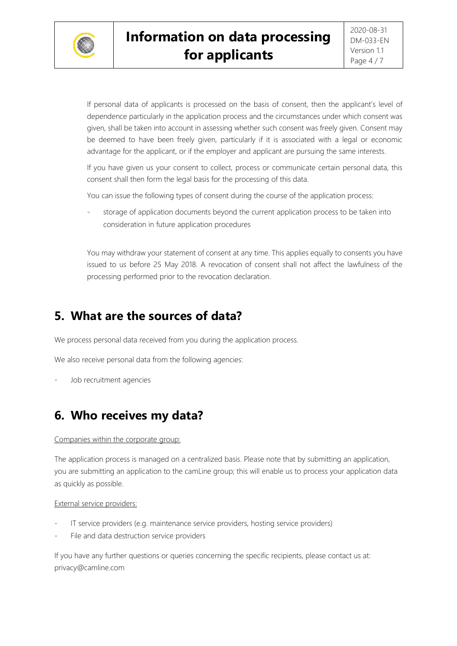

If personal data of applicants is processed on the basis of consent, then the applicant's level of dependence particularly in the application process and the circumstances under which consent was given, shall be taken into account in assessing whether such consent was freely given. Consent may be deemed to have been freely given, particularly if it is associated with a legal or economic advantage for the applicant, or if the employer and applicant are pursuing the same interests.

If you have given us your consent to collect, process or communicate certain personal data, this consent shall then form the legal basis for the processing of this data.

You can issue the following types of consent during the course of the application process:

storage of application documents beyond the current application process to be taken into consideration in future application procedures

You may withdraw your statement of consent at any time. This applies equally to consents you have issued to us before 25 May 2018. A revocation of consent shall not affect the lawfulness of the processing performed prior to the revocation declaration.

### **5. What are the sources of data?**

We process personal data received from you during the application process.

We also receive personal data from the following agencies:

Job recruitment agencies

## **6. Who receives my data?**

#### Companies within the corporate group:

The application process is managed on a centralized basis. Please note that by submitting an application, you are submitting an application to the camLine group; this will enable us to process your application data as quickly as possible.

#### External service providers:

- IT service providers (e.g. maintenance service providers, hosting service providers)
- File and data destruction service providers

If you have any further questions or queries concerning the specific recipients, please contact us at: privacy@camline.com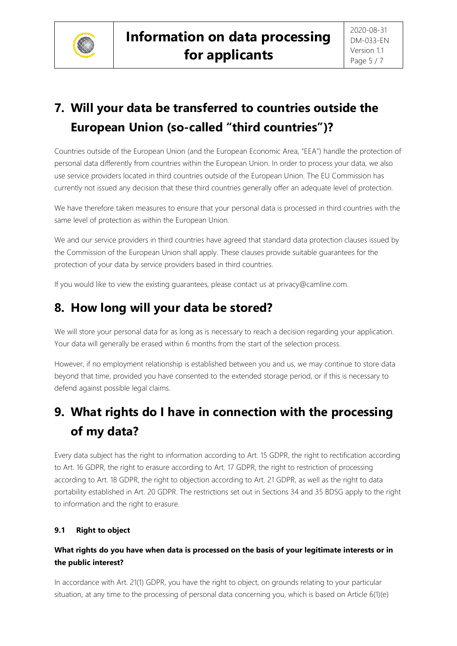

# **7. Will your data be transferred to countries outside the European Union (so-called "third countries")?**

Countries outside of the European Union (and the European Economic Area, "EEA") handle the protection of personal data differently from countries within the European Union. In order to process your data, we also use service providers located in third countries outside of the European Union. The EU Commission has currently not issued any decision that these third countries generally offer an adequate level of protection.

We have therefore taken measures to ensure that your personal data is processed in third countries with the same level of protection as within the European Union.

We and our service providers in third countries have agreed that standard data protection clauses issued by the Commission of the European Union shall apply. These clauses provide suitable guarantees for the protection of your data by service providers based in third countries.

If you would like to view the existing guarantees, please contact us at privacy@camline.com.

## **8. How long will your data be stored?**

We will store your personal data for as long as is necessary to reach a decision regarding your application. Your data will generally be erased within 6 months from the start of the selection process.

However, if no employment relationship is established between you and us, we may continue to store data beyond that time, provided you have consented to the extended storage period, or if this is necessary to defend against possible legal claims.

# **9. What rights do I have in connection with the processing of my data?**

Every data subject has the right to information according to Art. 15 GDPR, the right to rectification according to Art. 16 GDPR, the right to erasure according to Art. 17 GDPR, the right to restriction of processing according to Art. 18 GDPR, the right to objection according to Art. 21 GDPR, as well as the right to data portability established in Art. 20 GDPR. The restrictions set out in Sections 34 and 35 BDSG apply to the right to information and the right to erasure.

### **9.1 Right to object**

### **What rights do you have when data is processed on the basis of your legitimate interests or in the public interest?**

In accordance with Art. 21(1) GDPR, you have the right to object, on grounds relating to your particular situation, at any time to the processing of personal data concerning you, which is based on Article 6(1)(e)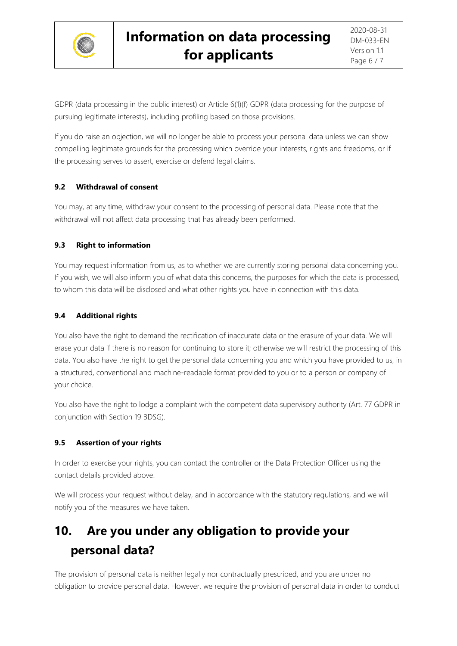

GDPR (data processing in the public interest) or Article 6(1)(f) GDPR (data processing for the purpose of pursuing legitimate interests), including profiling based on those provisions.

If you do raise an objection, we will no longer be able to process your personal data unless we can show compelling legitimate grounds for the processing which override your interests, rights and freedoms, or if the processing serves to assert, exercise or defend legal claims.

### **9.2 Withdrawal of consent**

You may, at any time, withdraw your consent to the processing of personal data. Please note that the withdrawal will not affect data processing that has already been performed.

### **9.3 Right to information**

You may request information from us, as to whether we are currently storing personal data concerning you. If you wish, we will also inform you of what data this concerns, the purposes for which the data is processed, to whom this data will be disclosed and what other rights you have in connection with this data.

### **9.4 Additional rights**

You also have the right to demand the rectification of inaccurate data or the erasure of your data. We will erase your data if there is no reason for continuing to store it; otherwise we will restrict the processing of this data. You also have the right to get the personal data concerning you and which you have provided to us, in a structured, conventional and machine-readable format provided to you or to a person or company of your choice.

You also have the right to lodge a complaint with the competent data supervisory authority (Art. 77 GDPR in conjunction with Section 19 BDSG).

### **9.5 Assertion of your rights**

In order to exercise your rights, you can contact the controller or the Data Protection Officer using the contact details provided above.

We will process your request without delay, and in accordance with the statutory regulations, and we will notify you of the measures we have taken.

# **10. Are you under any obligation to provide your personal data?**

The provision of personal data is neither legally nor contractually prescribed, and you are under no obligation to provide personal data. However, we require the provision of personal data in order to conduct